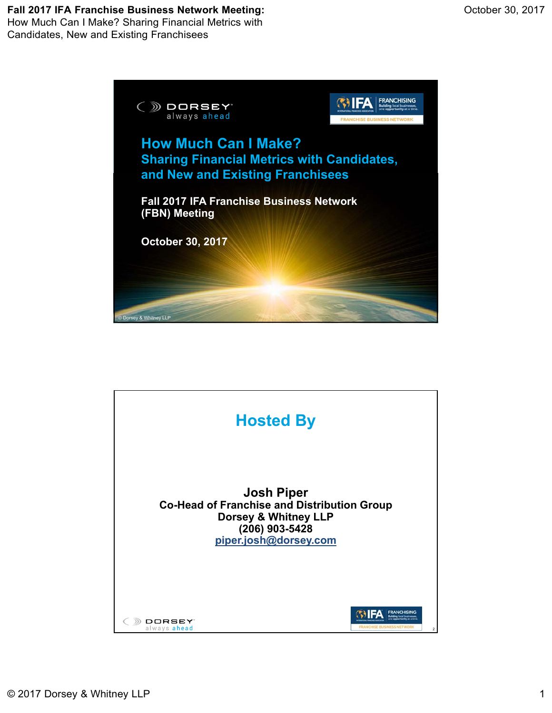## **Fall 2017 IFA Franchise Business Network Meeting:**



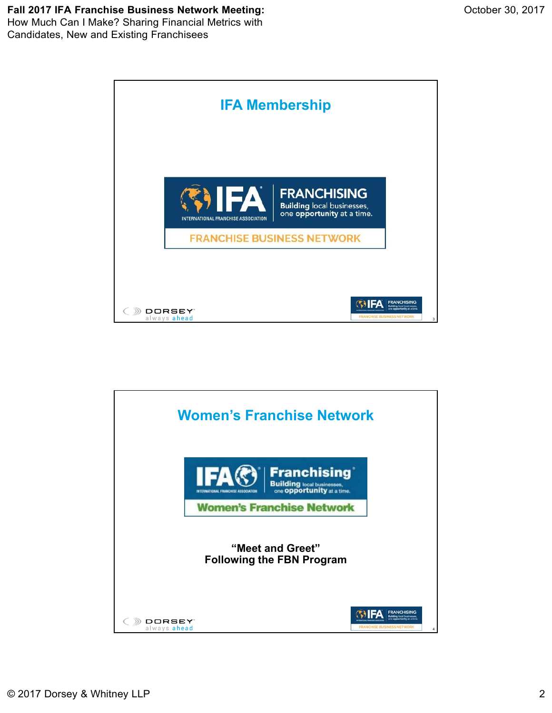# **Fall 2017 IFA Franchise Business Network Meeting:**



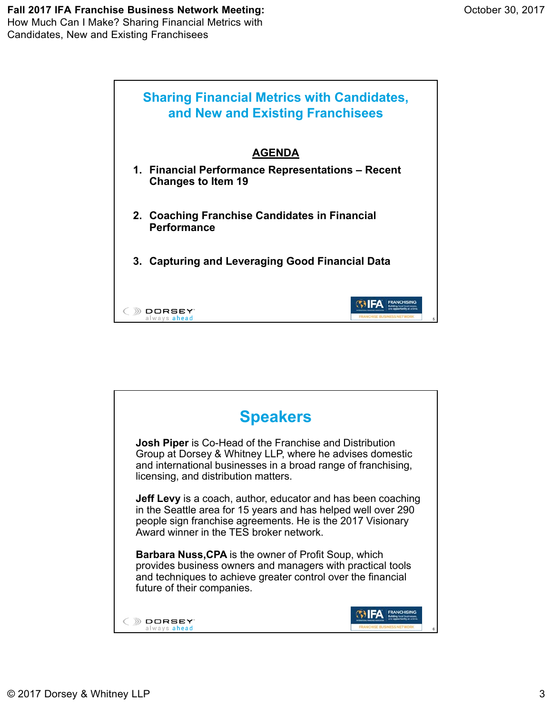

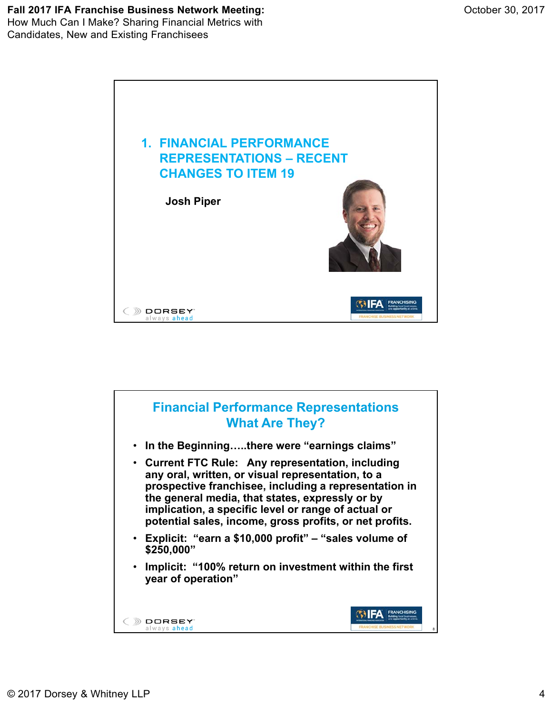

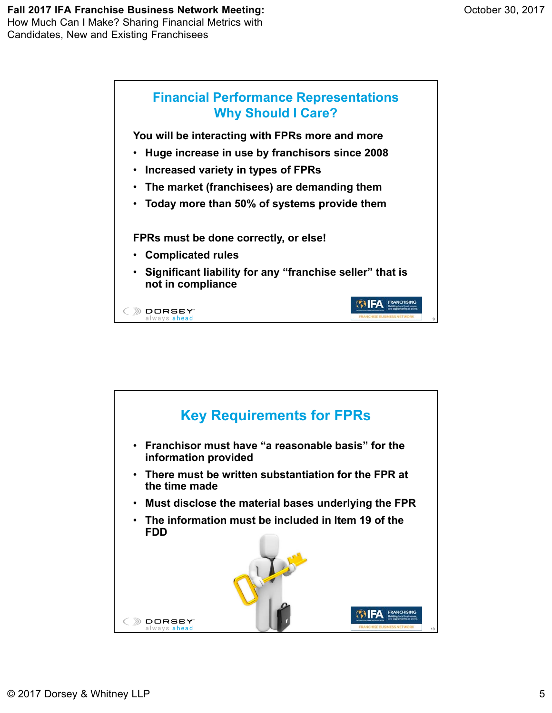

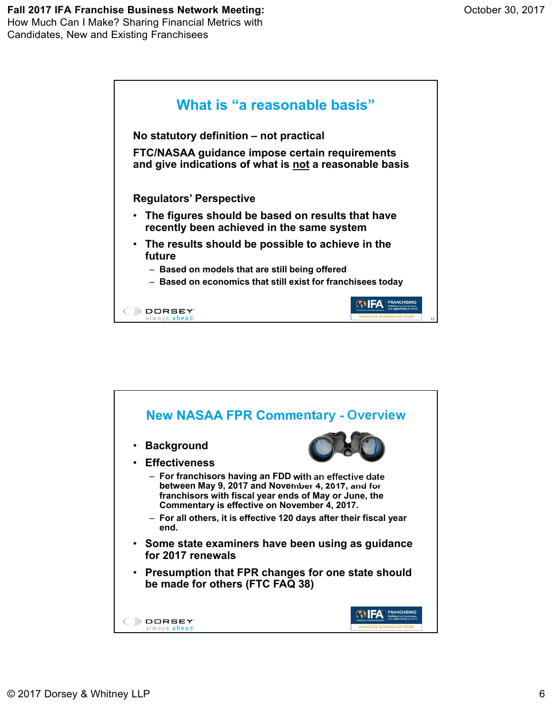# **Fall 2017 IFA Franchise Business Network Meeting:**



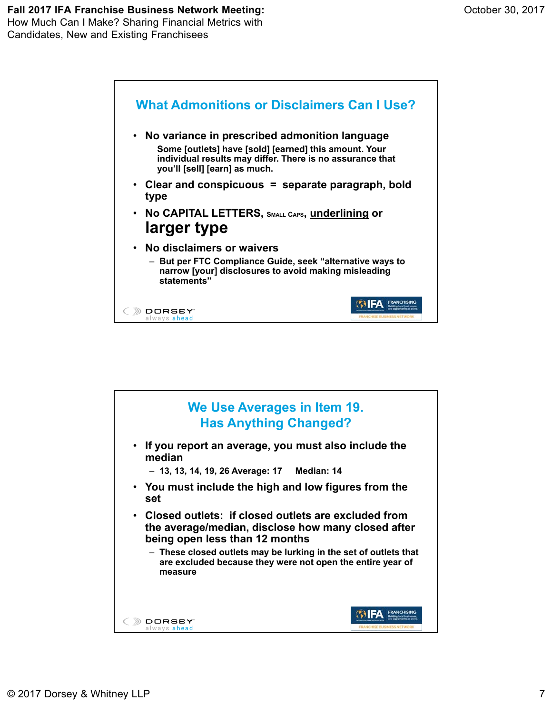

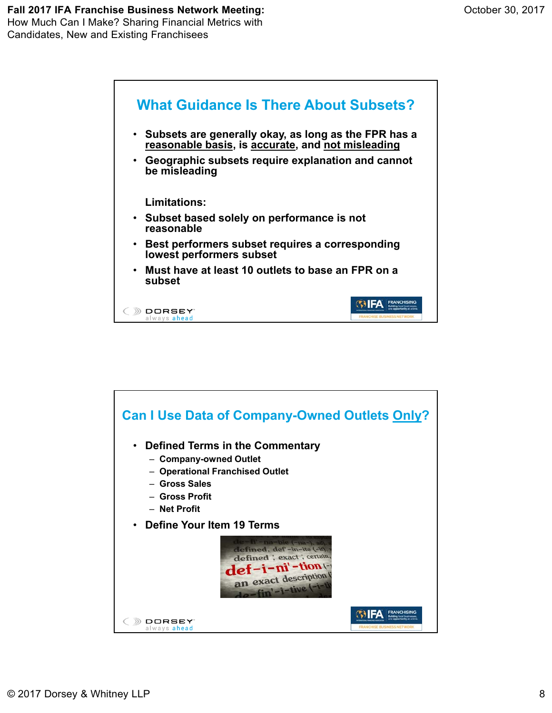

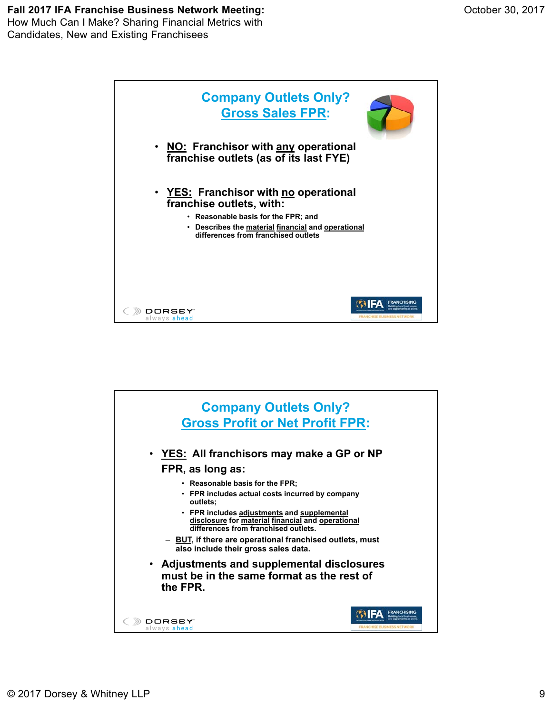Candidates, New and Existing Franchisees



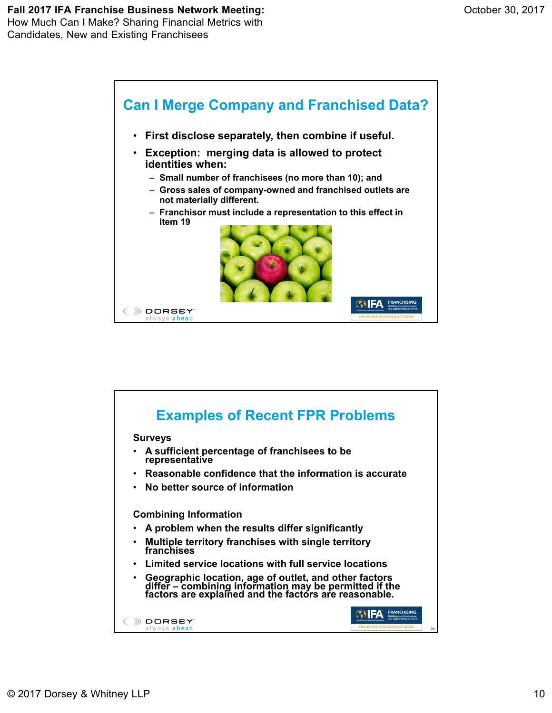

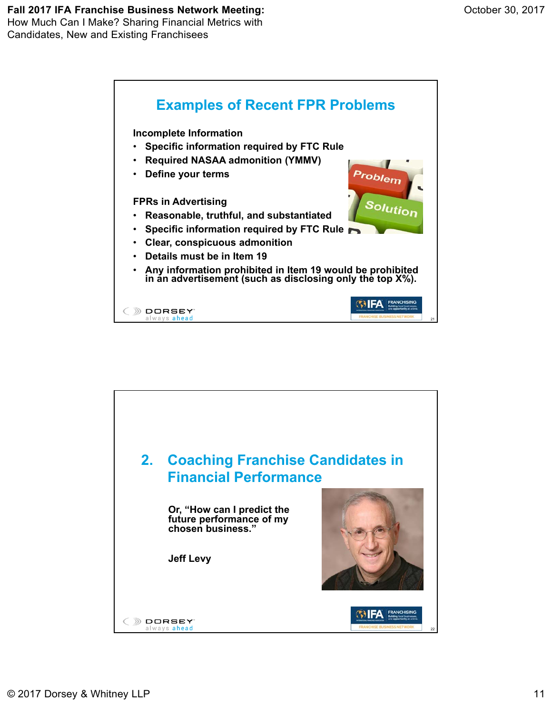

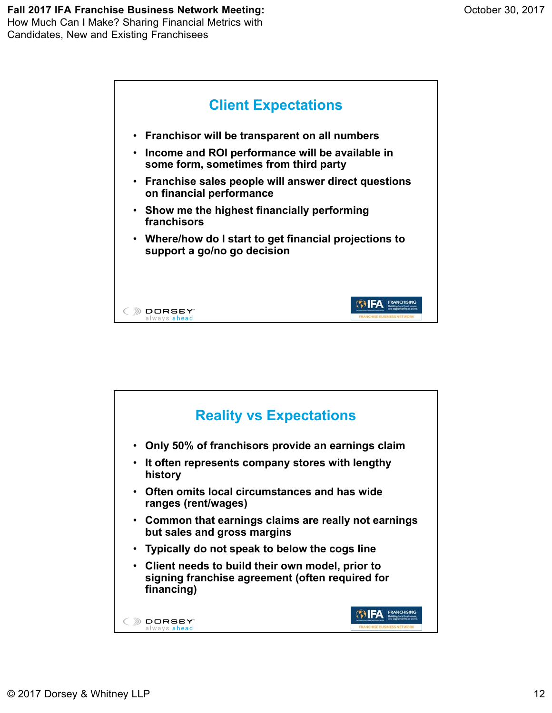

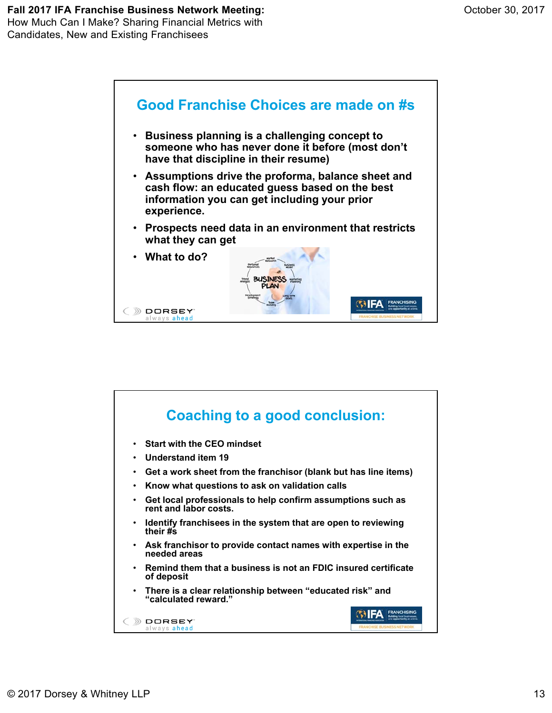

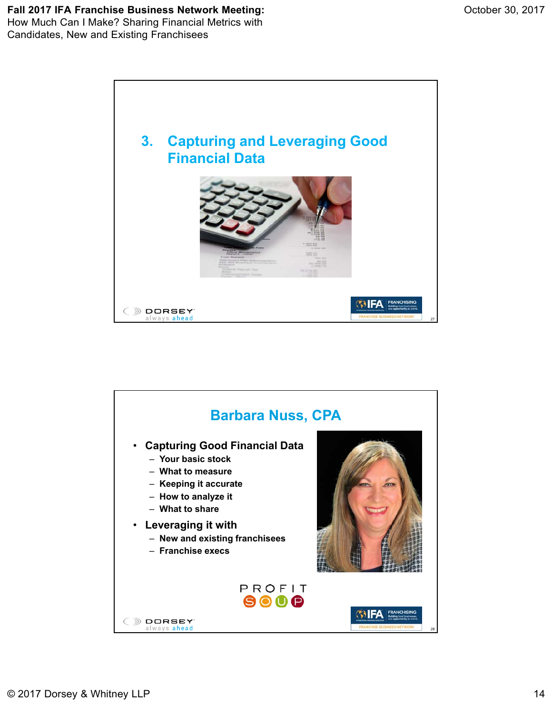

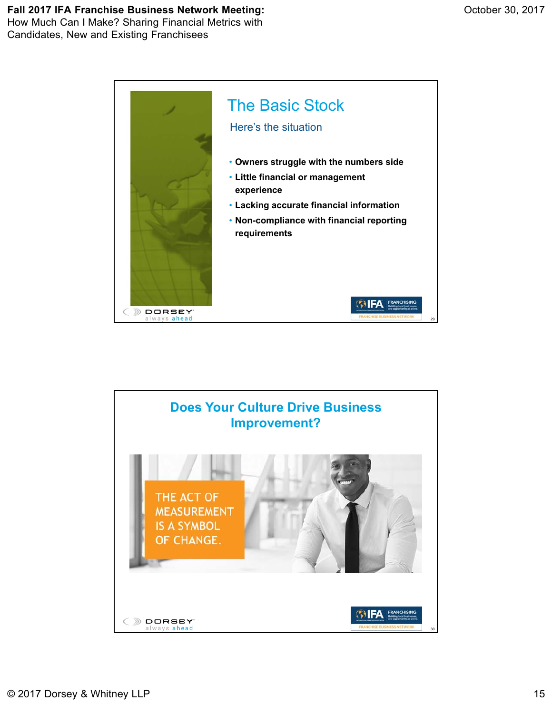### **Fall 2017 IFA Franchise Business Network Meeting:** How Much Can I Make? Sharing Financial Metrics with

Candidates, New and Existing Franchisees



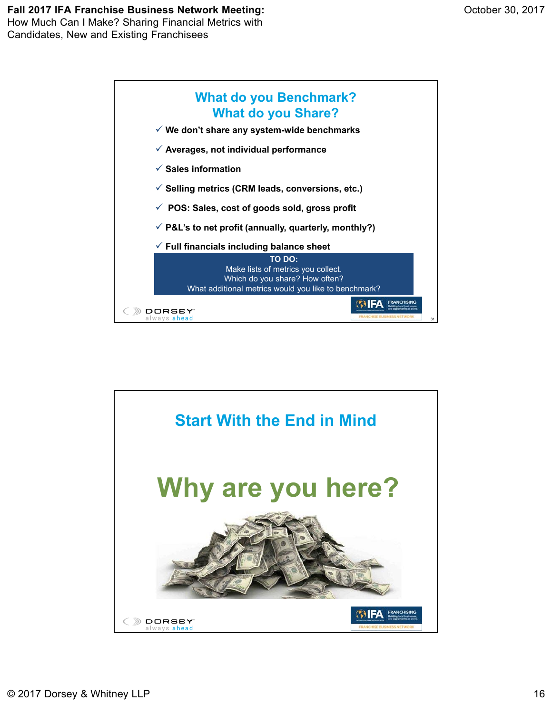#### **Fall 2017 IFA Franchise Business Network Meeting:** How Much Can I Make? Sharing Financial Metrics with

Candidates, New and Existing Franchisees



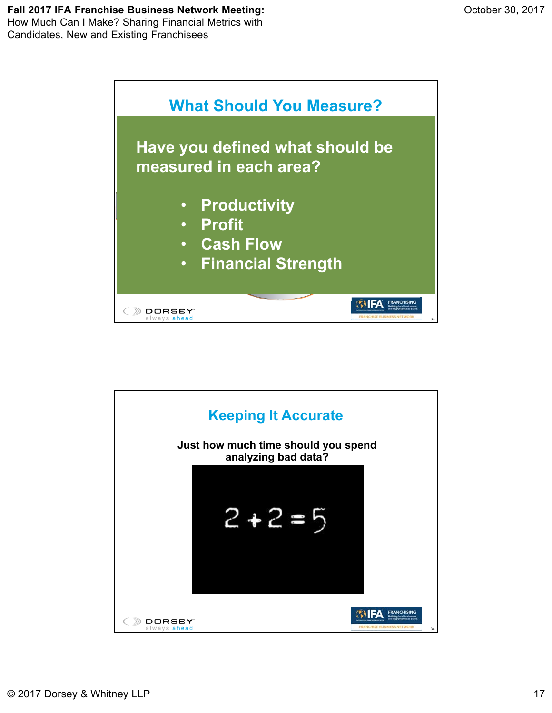

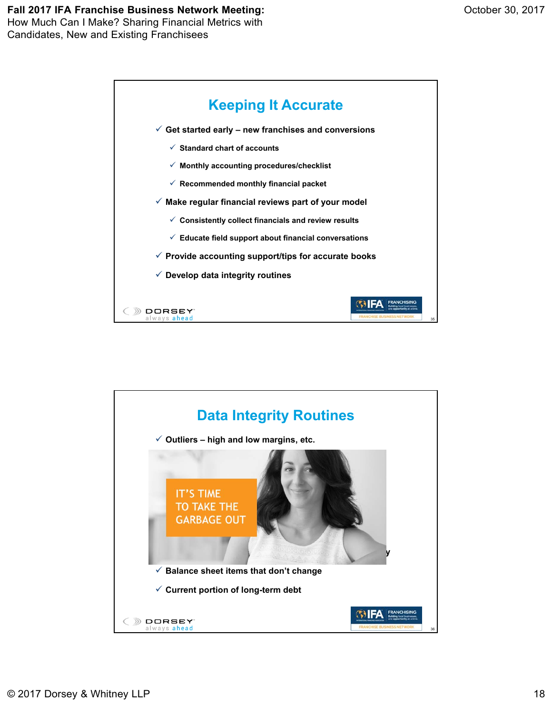

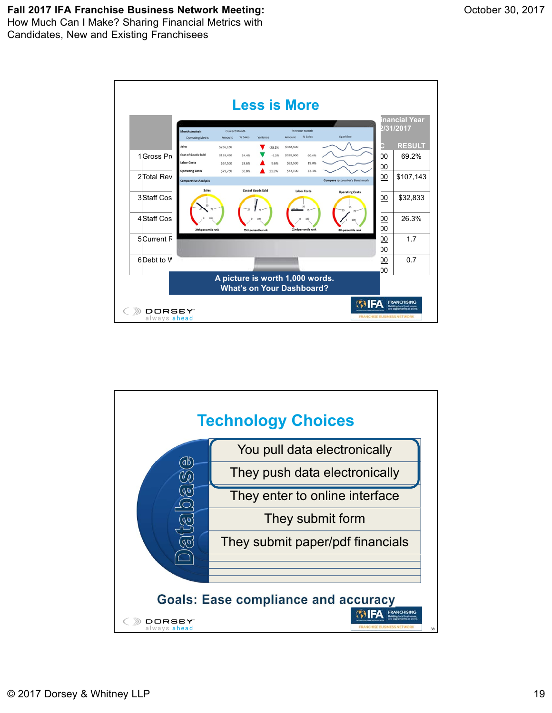

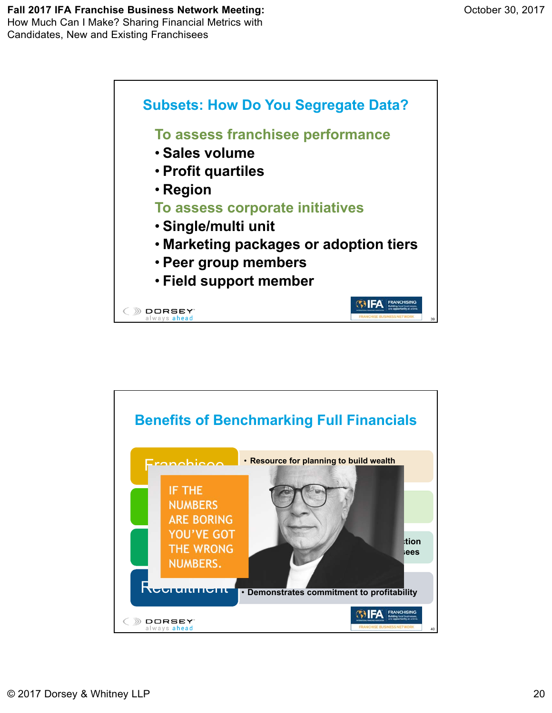

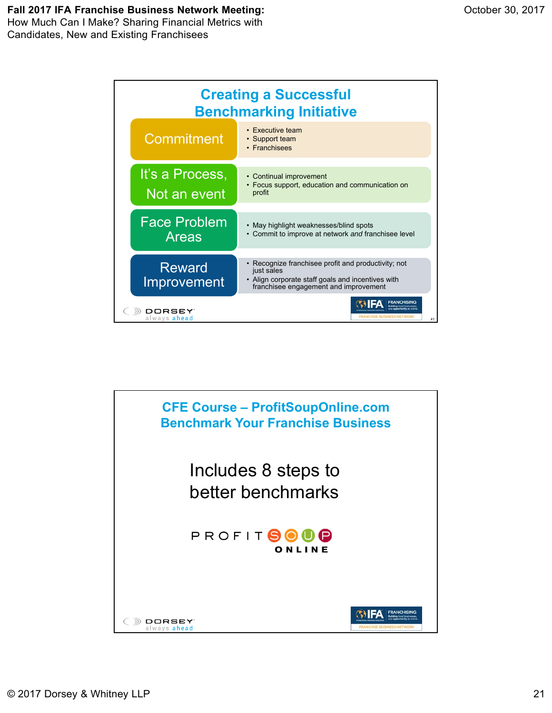